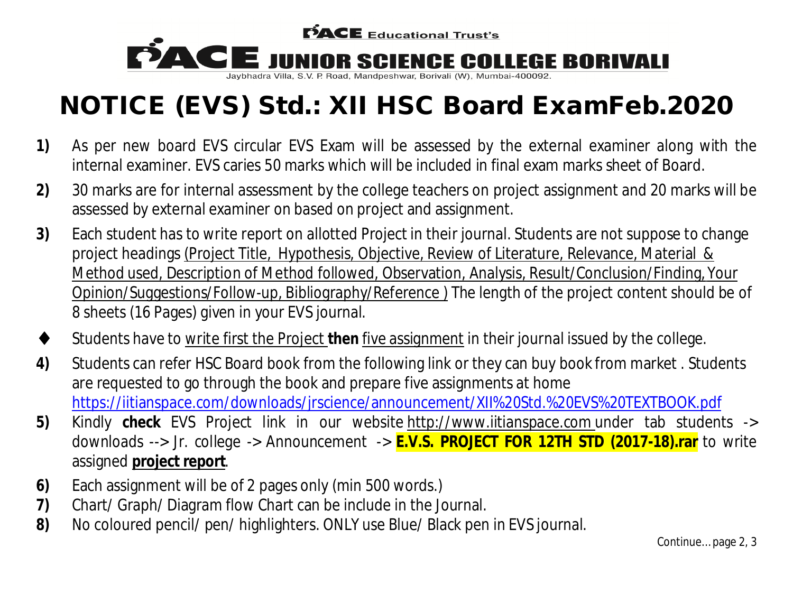

# **NOTICE (EVS) Std.: XII HSC Board ExamFeb.2020**

- **1)** As per new board EVS circular EVS Exam will be assessed by the external examiner along with the internal examiner. EVS caries 50 marks which will be included in final exam marks sheet of Board.
- **2)** 30 marks are for internal assessment by the college teachers on project assignment and 20 marks will be assessed by external examiner on based on project and assignment.
- **3)** Each student has to write report on allotted Project in their journal. Students are not suppose to change project headings (Project Title, Hypothesis, Objective, Review of Literature, Relevance, Material & Method used, Description of Method followed, Observation, Analysis, Result/Conclusion/Finding, Your Opinion/Suggestions/Follow-up, Bibliography/Reference ) The length of the project content should be of 8 sheets (16 Pages) given in your EVS journal.
- Students have to write first the Project **then** five assignment in their journal issued by the college.
- **4)** Students can refer HSC Board book from the following link or they can buy book from market . Students are requested to go through the book and prepare five assignments at home https://iitianspace.com/downloads/jrscience/announcement/XII%20Std.%20EVS%20TEXTBOOK.pdf
- **5)** Kindly **check** EVS Project link in our website http://www.iitianspace.com under tab students -> downloads --> Jr. college -> Announcement -> **E.V.S. PROJECT FOR 12TH STD (2017-18).rar** to write assigned **project report**.
- **6)** Each assignment will be of 2 pages only (min 500 words.)
- **7)** Chart/ Graph/ Diagram flow Chart can be include in the Journal.
- **8)** No coloured pencil/ pen/ highlighters. ONLY use Blue/ Black pen in EVS journal.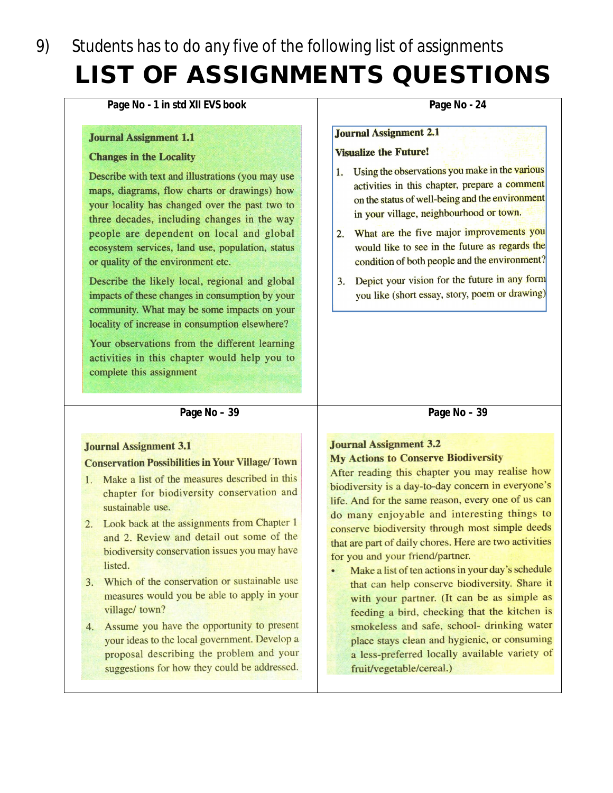## Students has to do any five of the following list of assignments 9) **LIST OF ASSIGNMENTS QUESTIONS**

#### Page No - 1 in std XII EVS book

#### **Journal Assignment 1.1**

#### **Changes in the Locality**

Describe with text and illustrations (you may use maps, diagrams, flow charts or drawings) how your locality has changed over the past two to three decades, including changes in the way people are dependent on local and global ecosystem services, land use, population, status or quality of the environment etc.

Describe the likely local, regional and global impacts of these changes in consumption by your community. What may be some impacts on your locality of increase in consumption elsewhere?

Your observations from the different learning activities in this chapter would help you to complete this assignment

#### Page No - 24

#### **Journal Assignment 2.1**

#### **Visualize the Future!**

- 1. Using the observations you make in the various activities in this chapter, prepare a comment on the status of well-being and the environment in your village, neighbourhood or town.
- 2. What are the five major improvements you would like to see in the future as regards the condition of both people and the environment?
- 3. Depict your vision for the future in any form you like (short essay, story, poem or drawing)

#### Page No - 39

#### **Journal Assignment 3.1**

#### **Conservation Possibilities in Your Village/Town**

- 1. Make a list of the measures described in this chapter for biodiversity conservation and sustainable use.
- 2. Look back at the assignments from Chapter 1 and 2. Review and detail out some of the biodiversity conservation issues you may have listed.
- 3. Which of the conservation or sustainable use measures would you be able to apply in your village/ town?
- 4. Assume you have the opportunity to present your ideas to the local government. Develop a proposal describing the problem and your suggestions for how they could be addressed.

### **Journal Assignment 3.2**

#### **My Actions to Conserve Biodiversity**

After reading this chapter you may realise how biodiversity is a day-to-day concern in everyone's life. And for the same reason, every one of us can do many enjoyable and interesting things to conserve biodiversity through most simple deeds that are part of daily chores. Here are two activities for you and your friend/partner.

Page No - 39

Make a list of ten actions in your day's schedule that can help conserve biodiversity. Share it with your partner. (It can be as simple as feeding a bird, checking that the kitchen is smokeless and safe, school- drinking water place stays clean and hygienic, or consuming a less-preferred locally available variety of fruit/vegetable/cereal.)